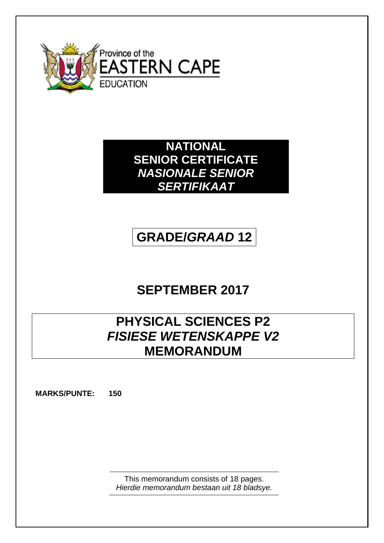

**NATIONAL SENIOR CERTIFICATE** *NASIONALE SENIOR SERTIFIKAAT*

# **GRADE/***GRAAD* **12**

# **SEPTEMBER 2017**

# **PHYSICAL SCIENCES P2** *FISIESE WETENSKAPPE V2* **MEMORANDUM**

**MARKS/PUNTE: 150**

This memorandum consists of 18 pages. *Hierdie memorandum bestaan uit 18 bladsye.*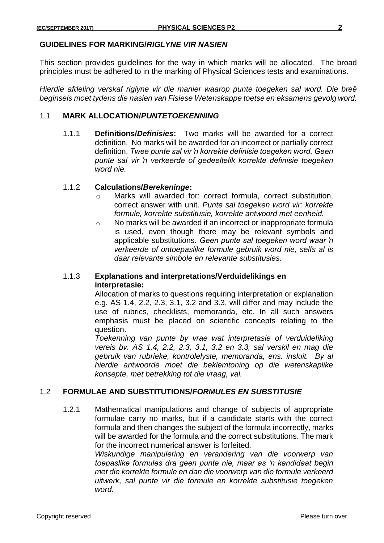#### **GUIDELINES FOR MARKING/***RIGLYNE VIR NASIEN*

This section provides guidelines for the way in which marks will be allocated. The broad principles must be adhered to in the marking of Physical Sciences tests and examinations.

*Hierdie afdeling verskaf riglyne vir die manier waarop punte toegeken sal word. Die breë beginsels moet tydens die nasien van Fisiese Wetenskappe toetse en eksamens gevolg word.*

### 1.1 **MARK ALLOCATION/***PUNTETOEKENNING*

1.1.1 **Definitions/***Definisies***:** Two marks will be awarded for a correct definition.No marks will be awarded for an incorrect or partially correct definition. *Twee punte sal vir 'n korrekte definisie toegeken word. Geen punte sal vir 'n verkeerde of gedeeltelik korrekte definisie toegeken word nie.*

#### 1.1.2 **Calculations/***Berekeninge***:**

- o Marks will awarded for: correct formula, correct substitution, correct answer with unit. *Punte sal toegeken word vir: korrekte formule, korrekte substitusie, korrekte antwoord met eenheid.*
- o No marks will be awarded if an incorrect or inappropriate formula is used, even though there may be relevant symbols and applicable substitutions. *Geen punte sal toegeken word waar 'n verkeerde of ontoepaslike formule gebruik word nie, selfs al is daar relevante simbole en relevante substitusies.*

# 1.1.3 **Explanations and interpretations/Verduidelikings en interpretasie:**

Allocation of marks to questions requiring interpretation or explanation e.g. AS 1.4, 2.2, 2.3, 3.1, 3.2 and 3.3, will differ and may include the use of rubrics, checklists, memoranda, etc. In all such answers emphasis must be placed on scientific concepts relating to the question.

*Toekenning van punte by vrae wat interpretasie of verduideliking vereis bv. AS 1.4, 2.2, 2.3, 3.1, 3.2 en 3.3, sal verskil en mag die gebruik van rubrieke, kontrolelyste, memoranda, ens. insluit. By al hierdie antwoorde moet die beklemtoning op die wetenskaplike konsepte, met betrekking tot die vraag, val.*

### 1.2 **FORMULAE AND SUBSTITUTIONS/***FORMULES EN SUBSTITUSIE*

1.2.1 Mathematical manipulations and change of subjects of appropriate formulae carry no marks, but if a candidate starts with the correct formula and then changes the subject of the formula incorrectly, marks will be awarded for the formula and the correct substitutions. The mark for the incorrect numerical answer is forfeited.

> *Wiskundige manipulering en verandering van die voorwerp van toepaslike formules dra geen punte nie, maar as 'n kandidaat begin met die korrekte formule en dan die voorwerp van die formule verkeerd uitwerk, sal punte vir die formule en korrekte substitusie toegeken word.*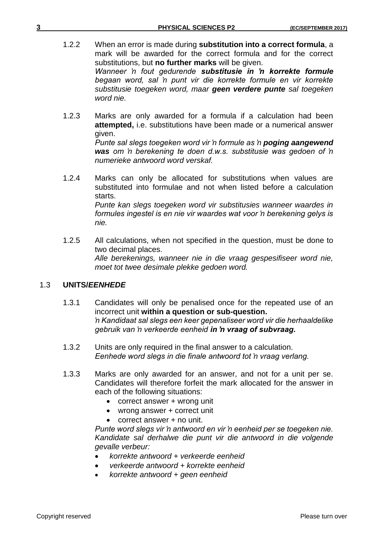- 1.2.2 When an error is made during **substitution into a correct formula**, a mark will be awarded for the correct formula and for the correct substitutions, but **no further marks** will be given. *Wanneer 'n fout gedurende substitusie in 'n korrekte formule begaan word, sal 'n punt vir die korrekte formule en vir korrekte substitusie toegeken word, maar geen verdere punte sal toegeken word nie.*
- 1.2.3 Marks are only awarded for a formula if a calculation had been **attempted,** i.e. substitutions have been made or a numerical answer given.

*Punte sal slegs toegeken word vir 'n formule as 'n poging aangewend was om 'n berekening te doen d.w.s. substitusie was gedoen of 'n numerieke antwoord word verskaf.*

- 1.2.4 Marks can only be allocated for substitutions when values are substituted into formulae and not when listed before a calculation starts. *Punte kan slegs toegeken word vir substitusies wanneer waardes in formules ingestel is en nie vir waardes wat voor 'n berekening gelys is nie.*
- 1.2.5 All calculations, when not specified in the question, must be done to two decimal places. *Alle berekenings, wanneer nie in die vraag gespesifiseer word nie, moet tot twee desimale plekke gedoen word.*

# 1.3 **UNITS/***EENHEDE*

- 1.3.1 Candidates will only be penalised once for the repeated use of an incorrect unit **within a question or sub-question.** *'n Kandidaat sal slegs een keer gepenaliseer word vir die herhaaldelike gebruik van 'n verkeerde eenheid in 'n vraag of subvraag.*
- 1.3.2 Units are only required in the final answer to a calculation. *Eenhede word slegs in die finale antwoord tot 'n vraag verlang.*
- 1.3.3 Marks are only awarded for an answer, and not for a unit per se. Candidates will therefore forfeit the mark allocated for the answer in each of the following situations:
	- correct answer + wrong unit
	- wrong answer + correct unit
	- correct answer + no unit.

*Punte word slegs vir 'n antwoord en vir 'n eenheid per se toegeken nie. Kandidate sal derhalwe die punt vir die antwoord in die volgende gevalle verbeur:*

- *korrekte antwoord + verkeerde eenheid*
- *verkeerde antwoord + korrekte eenheid*
- *korrekte antwoord + geen eenheid*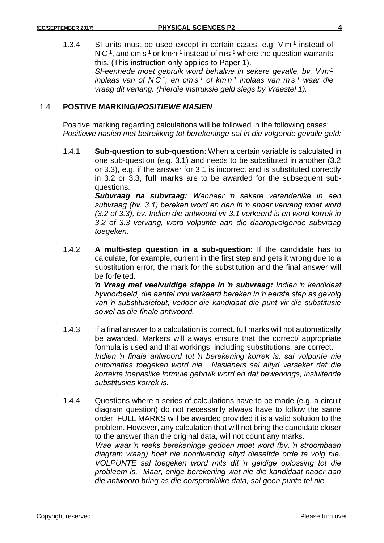1.3.4 SI units must be used except in certain cases, e.g.  $V \cdot m^{-1}$  instead of  $N C^{-1}$ , and cm s<sup>-1</sup> or km h<sup>-1</sup> instead of m s<sup>-1</sup> where the question warrants this. (This instruction only applies to Paper 1). *SI-eenhede moet gebruik word behalwe in sekere gevalle, bv. V.m-1 inplaas van of N<sup>C-1</sup>, en cms*<sup>-1</sup> of km·h<sup>-1</sup> inplaas van m·s<sup>-1</sup> waar die *vraag dit verlang. (Hierdie instruksie geld slegs by Vraestel 1).*

### 1.4 **POSTIVE MARKING/***POSITIEWE NASIEN*

Positive marking regarding calculations will be followed in the following cases: *Positiewe nasien met betrekking tot berekeninge sal in die volgende gevalle geld:*

1.4.1 **Sub-question to sub-question**: When a certain variable is calculated in one sub-question (e.g. 3.1) and needs to be substituted in another (3.2 or 3.3), e.g. if the answer for 3.1 is incorrect and is substituted correctly in 3.2 or 3.3, **full marks** are to be awarded for the subsequent subquestions.

> *Subvraag na subvraag: Wanneer 'n sekere veranderlike in een subvraag (bv. 3.1) bereken word en dan in 'n ander vervang moet word (3.2 of 3.3), bv. Indien die antwoord vir 3.1 verkeerd is en word korrek in 3.2 of 3.3 vervang, word volpunte aan die daaropvolgende subvraag toegeken.*

1.4.2 **A multi-step question in a sub-question**: If the candidate has to calculate, for example, current in the first step and gets it wrong due to a substitution error, the mark for the substitution and the final answer will be forfeited.

> *'n Vraag met veelvuldige stappe in 'n subvraag: Indien 'n kandidaat byvoorbeeld, die aantal mol verkeerd bereken in 'n eerste stap as gevolg van 'n substitusiefout, verloor die kandidaat die punt vir die substitusie sowel as die finale antwoord.*

- 1.4.3 If a final answer to a calculation is correct, full marks will not automatically be awarded. Markers will always ensure that the correct/ appropriate formula is used and that workings, including substitutions, are correct. Indien 'n finale antwoord tot 'n berekening korrek is, sal volpunte nie *outomaties toegeken word nie. Nasieners sal altyd verseker dat die korrekte toepaslike formule gebruik word en dat bewerkings, insluitende substitusies korrek is.*
- 1.4.4 Questions where a series of calculations have to be made (e.g. a circuit diagram question) do not necessarily always have to follow the same order. FULL MARKS will be awarded provided it is a valid solution to the problem. However, any calculation that will not bring the candidate closer to the answer than the original data, will not count any marks. *Vrae waar 'n reeks berekeninge gedoen moet word (bv. 'n stroombaan diagram vraag) hoef nie noodwendig altyd dieselfde orde te volg nie. VOLPUNTE sal toegeken word mits dit 'n geldige oplossing tot die probleem is. Maar, enige berekening wat nie die kandidaat nader aan die antwoord bring as die oorspronklike data, sal geen punte tel nie.*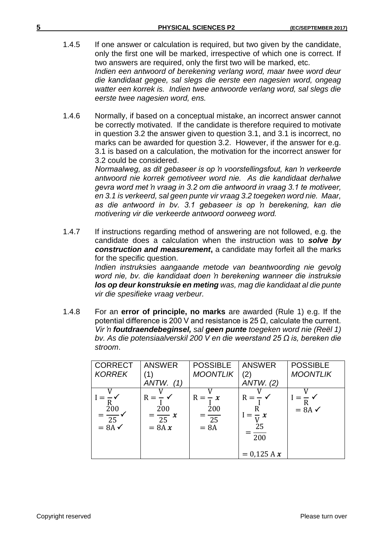- 1.4.5 If one answer or calculation is required, but two given by the candidate, only the first one will be marked, irrespective of which one is correct. If two answers are required, only the first two will be marked, etc. *Indien een antwoord of berekening verlang word, maar twee word deur die kandidaat gegee, sal slegs die eerste een nagesien word, ongeag watter een korrek is. Indien twee antwoorde verlang word, sal slegs die eerste twee nagesien word, ens.*
- 1.4.6 Normally, if based on a conceptual mistake, an incorrect answer cannot be correctly motivated. If the candidate is therefore required to motivate in question 3.2 the answer given to question 3.1, and 3.1 is incorrect, no marks can be awarded for question 3.2. However, if the answer for e.g. 3.1 is based on a calculation, the motivation for the incorrect answer for 3.2 could be considered.

*Normaalweg, as dit gebaseer is op 'n voorstellingsfout, kan 'n verkeerde antwoord nie korrek gemotiveer word nie. As die kandidaat derhalwe gevra word met 'n vraag in 3.2 om die antwoord in vraag 3.1 te motiveer, en 3.1 is verkeerd, sal geen punte vir vraag 3.2 toegeken word nie. Maar, as die antwoord in bv. 3.1 gebaseer is op 'n berekening, kan die motivering vir die verkeerde antwoord oorweeg word.*

1.4.7 If instructions regarding method of answering are not followed, e.g. the candidate does a calculation when the instruction was to *solve by construction and measurement*, a candidate may forfeit all the marks for the specific question.

*Indien instruksies aangaande metode van beantwoording nie gevolg word nie, bv. die kandidaat doen 'n berekening wanneer die instruksie los op deur konstruksie en meting was, mag die kandidaat al die punte vir die spesifieke vraag verbeur.*

1.4.8 For an **error of principle, no marks** are awarded (Rule 1) e.g. If the potential difference is 200 V and resistance is 25 Ω, calculate the current. *Vir 'n foutdraendebeginsel, sal geen punte toegeken word nie (Reël 1) bv. As die potensiaalverskil 200 V en die weerstand 25 Ω is, bereken die stroom*.

| <b>CORRECT</b>          | <b>ANSWER</b>                                | <b>POSSIBLE</b>                                   | <b>ANSWER</b>                                           | <b>POSSIBLE</b>   |
|-------------------------|----------------------------------------------|---------------------------------------------------|---------------------------------------------------------|-------------------|
| <b>KORREK</b>           |                                              | <b>MOONTLIK</b>                                   | $\mathbf{2}$                                            | <b>MOONTLIK</b>   |
|                         | ANTW.<br>(1)                                 |                                                   | ANTW. (2)                                               |                   |
| 200<br>$=\frac{25}{25}$ | $R =$<br>200<br>$=\frac{1}{25}x$<br>$= 8A x$ | $R =$<br>$-x$<br>200<br>$\overline{25}$<br>$= 8A$ | $R = -$<br>R<br>$1=\pm x$<br>25<br>200<br>$= 0.125 A x$ | $= 8A \checkmark$ |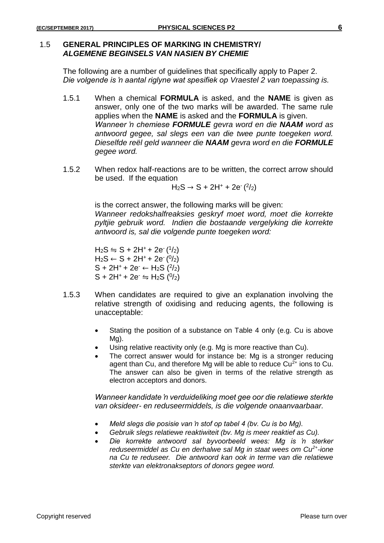#### 1.5 **GENERAL PRINCIPLES OF MARKING IN CHEMISTRY/** *ALGEMENE BEGINSELS VAN NASIEN BY CHEMIE*

The following are a number of guidelines that specifically apply to Paper 2. *Die volgende is 'n aantal riglyne wat spesifiek op Vraestel 2 van toepassing is.*

- 1.5.1 When a chemical **FORMULA** is asked, and the **NAME** is given as answer, only one of the two marks will be awarded. The same rule applies when the **NAME** is asked and the **FORMULA** is given. *Wanneer 'n chemiese FORMULE gevra word en die NAAM word as antwoord gegee, sal slegs een van die twee punte toegeken word. Dieselfde reël geld wanneer die NAAM gevra word en die FORMULE gegee word.*
- 1.5.2 When redox half-reactions are to be written, the correct arrow should be used. If the equation

 $H_2S \to S + 2H^+ + 2e^{-(2/2)}$ 

is the correct answer, the following marks will be given: *Wanneer redokshalfreaksies geskryf moet word, moet die korrekte pyltjie gebruik word. Indien die bostaande vergelyking die korrekte antwoord is, sal die volgende punte toegeken word:*

 $H_2S \leftrightharpoons S + 2H^+ + 2e^{-(1/2)}$  $H_2S \leftarrow S + 2H^+ + 2e^{-(0/2)}$  $S + 2H^+ + 2e^- \leftarrow H_2S$  (<sup>2</sup>/<sub>2</sub>)  $S$  + 2H<sup>+</sup> + 2e<sup>-</sup>  $\leftrightharpoons$  H<sub>2</sub>S (<sup>0</sup>/<sub>2</sub>)

- 1.5.3 When candidates are required to give an explanation involving the relative strength of oxidising and reducing agents, the following is unacceptable:
	- Stating the position of a substance on Table 4 only (e.g. Cu is above Mg).
	- Using relative reactivity only (e.g. Mg is more reactive than Cu).
	- The correct answer would for instance be: Mg is a stronger reducing agent than Cu, and therefore Mg will be able to reduce  $Cu<sup>2+</sup>$  ions to Cu. The answer can also be given in terms of the relative strength as electron acceptors and donors.

*Wanneer kandidate 'n verduideliking moet gee oor die relatiewe sterkte van oksideer- en reduseermiddels, is die volgende onaanvaarbaar.*

- *Meld slegs die posisie van 'n stof op tabel 4 (bv. Cu is bo Mg).*
- *Gebruik slegs relatiewe reaktiwiteit (bv. Mg is meer reaktief as Cu).*
- *Die korrekte antwoord sal byvoorbeeld wees: Mg is 'n sterker reduseermiddel as Cu en derhalwe sal Mg in staat wees om Cu2+ -ione na Cu te reduseer. Die antwoord kan ook in terme van die relatiewe sterkte van elektronakseptors of donors gegee word.*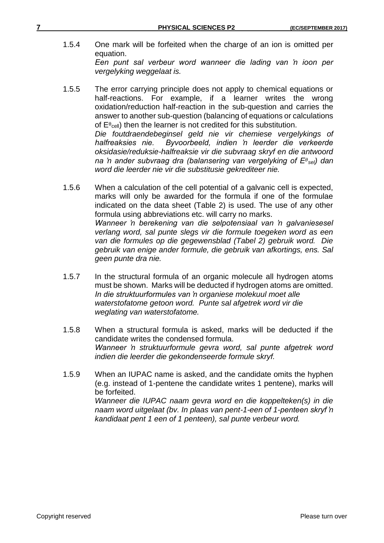- 1.5.4 One mark will be forfeited when the charge of an ion is omitted per equation. *Een punt sal verbeur word wanneer die lading van 'n ioon per vergelyking weggelaat is.*
- 1.5.5 The error carrying principle does not apply to chemical equations or half-reactions. For example, if a learner writes the wrong oxidation/reduction half-reaction in the sub-question and carries the answer to another sub-question (balancing of equations or calculations of  $\mathsf{E}^\mathfrak{g}{}_{\mathsf{cell}}$ ) then the learner is not credited for this substitution. *Die foutdraendebeginsel geld nie vir chemiese vergelykings of halfreaksies nie. Byvoorbeeld, indien 'n leerder die verkeerde oksidasie/reduksie-halfreaksie vir die subvraag skryf en die antwoord na 'n ander subvraag dra (balansering van vergelyking of E sel) dan word die leerder nie vir die substitusie gekrediteer nie.*
- 1.5.6 When a calculation of the cell potential of a galvanic cell is expected, marks will only be awarded for the formula if one of the formulae indicated on the data sheet (Table 2) is used. The use of any other formula using abbreviations etc. will carry no marks. *Wanneer 'n berekening van die selpotensiaal van 'n galvaniesesel verlang word, sal punte slegs vir die formule toegeken word as een van die formules op die gegewensblad (Tabel 2) gebruik word. Die gebruik van enige ander formule, die gebruik van afkortings, ens. Sal geen punte dra nie.*
- 1.5.7 In the structural formula of an organic molecule all hydrogen atoms must be shown. Marks will be deducted if hydrogen atoms are omitted. *In die struktuurformules van 'n organiese molekuul moet alle waterstofatome getoon word. Punte sal afgetrek word vir die weglating van waterstofatome.*
- 1.5.8 When a structural formula is asked, marks will be deducted if the candidate writes the condensed formula. *Wanneer 'n struktuurformule gevra word, sal punte afgetrek word indien die leerder die gekondenseerde formule skryf.*
- 1.5.9 When an IUPAC name is asked, and the candidate omits the hyphen (e.g. instead of 1-pentene the candidate writes 1 pentene), marks will be forfeited. *Wanneer die IUPAC naam gevra word en die koppelteken(s) in die naam word uitgelaat (bv. In plaas van pent-1-een of 1-penteen skryf 'n kandidaat pent 1 een of 1 penteen), sal punte verbeur word.*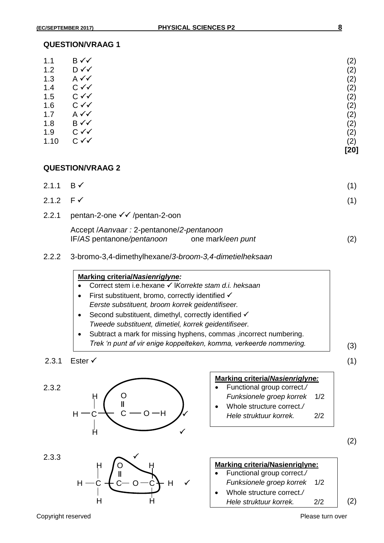| 1.1  | B√√            | (2)  |
|------|----------------|------|
| 1.2  | $D \checkmark$ | (2)  |
| 1.3  | $A \vee C$     | (2)  |
| 1.4  | $C \vee C$     | (2)  |
| 1.5  | $C \vee C$     | (2)  |
| 1.6  | $C \vee C$     | (2)  |
| 1.7  | $A \vee C$     | (2)  |
| 1.8  | B√√            | (2)  |
| 1.9  | $C \vee C$     | (2)  |
| 1.10 | $C \vee C$     | (2)  |
|      |                | [20] |

# **QUESTION/VRAAG 2**

| 2.1.1 B $\checkmark$ |                                                                                          |  |
|----------------------|------------------------------------------------------------------------------------------|--|
| 2.1.2 $F \checkmark$ |                                                                                          |  |
| 2.2.1                | pentan-2-one <del>√ ∕</del> /pentan-2-oon                                                |  |
|                      | Accept / Aanvaar: 2-pentanone/2-pentanoon<br>IF/AS pentanone/pentanoon one mark/een punt |  |

2.2.2 3-bromo-3,4-dimethylhexane/*3-broom-3,4-dimetielheksaan*

#### **Marking criteria/***Nasienriglyne:*

- Correct stem i.e.hexane l*Korrekte stam d.i. heksaan*
- $\bullet$  First substituent, bromo, correctly identified  $\checkmark$ *Eerste substituent, broom korrek geidentifiseer.*
- $\bullet$  Second substituent, dimethyl, correctly identified  $\checkmark$ *Tweede substituent, dimetiel, korrek geidentifiseer.*
- Subtract a mark for missing hyphens, commas , incorrect numbering. *Trek 'n punt af vir enige koppelteken, komma, verkeerde nommering.*
- 2.3.1 Ester  $\checkmark$  (1)





|           | Marking criteria/Nasienriglyne: |
|-----------|---------------------------------|
| $\bullet$ | Functional group correct./      |

- *Funksionele groep korrek* 1/2
- Whole structure correct.*/ Hele struktuur korrek.* 2/2

(2)

(3)



Copyright reserved **Please turn over the Copyright reserved** Please turn over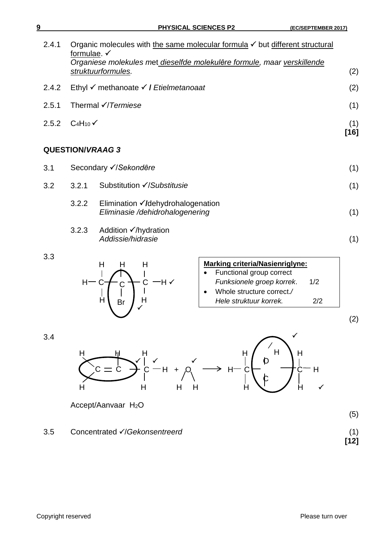| 9     |                        | <b>PHYSICAL SCIENCES P2</b>                                                                                                                                                              | (EC/SEPTEMBER 2017) |
|-------|------------------------|------------------------------------------------------------------------------------------------------------------------------------------------------------------------------------------|---------------------|
| 2.4.1 | formulae. $\checkmark$ | Organic molecules with the same molecular formula $\checkmark$ but different structural<br>Organiese molekules met dieselfde molekulêre formule, maar verskillende<br>struktuurformules. | (2)                 |
| 2.4.2 |                        | Ethyl V methanoate V / Etielmetanoaat                                                                                                                                                    | (2)                 |
| 2.5.1 |                        | Thermal $\checkmark$ /Termiese                                                                                                                                                           | (1)                 |
| 2.5.2 | $C_4H_{10}$            |                                                                                                                                                                                          | (1)<br>$[16]$       |
|       | <b>QUESTION/VRAAG3</b> |                                                                                                                                                                                          |                     |
| 3.1   |                        | Secondary √/Sekondêre                                                                                                                                                                    | (1)                 |
| 3.2   | 3.2.1                  | Substitution √/Substitusie                                                                                                                                                               | (1)                 |
|       | 3.2.2                  | Elimination ∕/dehydrohalogenation<br>Eliminasie /dehidrohalogenering                                                                                                                     | (1)                 |
|       | 3.2.3                  | Addition $\checkmark$ /hydration<br>Addissie/hidrasie                                                                                                                                    | (1)                 |

3.3



| Marking criteria/Nasienriglyne: |                           |     |  |
|---------------------------------|---------------------------|-----|--|
|                                 | Functional group correct  |     |  |
|                                 | Funksionele groep korrek. | 1/2 |  |
|                                 | Whole structure correct./ |     |  |
|                                 | Hele struktuur korrek.    | 2/2 |  |
|                                 |                           |     |  |

(2)

(5)

**[12]**





Accept/Aanvaar H<sub>2</sub>O

3.5 Concentrated **//Gekonsentreerd**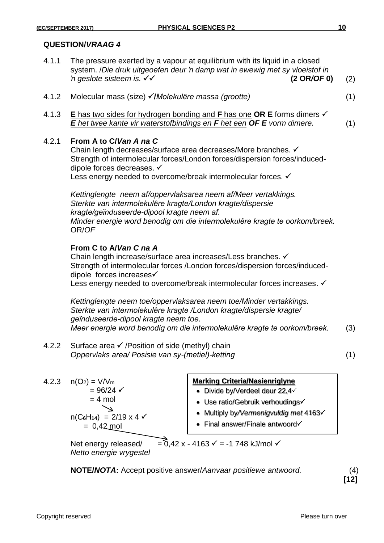- 4.1.1 The pressure exerted by a vapour at equilibrium with its liquid in a closed system. /*Die druk uitgeoefen deur 'n damp wat in ewewig met sy vloeistof in*   $n$  *geslote sisteem is.*  $\checkmark \checkmark$  (2 OR/OF 0) (2)
- 4.1.2 Molecular mass (size) **/***Molekulȇre massa (grootte)* (1)

4.1.3 **E** has two sides for hydrogen bonding and **F** has one **OR E** forms dimers *E het twee kante vir waterstofbindings en F het een OF E vorm dimere.* (1)

# 4.2.1 **From A to C/***Van A na C*

Chain length decreases/surface area decreases/More branches. Strength of intermolecular forces/London forces/dispersion forces/induceddipole forces decreases. Less energy needed to overcome/break intermolecular forces. √

*Kettinglengte neem af/oppervlaksarea neem af/Meer vertakkings. Sterkte van intermolekulȇre kragte/London kragte/dispersie kragte/geїnduseerde-dipool kragte neem af. Minder energie word benodig om die intermolekulêre kragte te oorkom/breek.* OR/*OF*

# **From C to A/***Van C na A*

Chain length increase/surface area increases/Less branches. Strength of intermolecular forces /London forces/dispersion forces/induceddipole forces increases Less energy needed to overcome/break intermolecular forces increases. <del>✓</del>

*Kettinglengte neem toe/oppervlaksarea neem toe/Minder vertakkings. Sterkte van intermolekulȇre kragte /London kragte/dispersie kragte/ geїnduseerde-dipool kragte neem toe. Meer energie word benodig om die intermolekulêre kragte te oorkom/breek.* (3)

4.2.2 Surface area  $\checkmark$  /Position of side (methyl) chain *Oppervlaks area/ Posisie van sy-(metiel)-ketting* (1)

4.2.3  $n(O_2) = V/V_m$  $= 96/24$   $\checkmark$  $= 4$  mol  $\overline{\phantom{0}}$  $n(C_6H_{14}) = 2/19 \times 4$  $= 0,42 \text{ mol}$ 

#### **Marking Criteria/Nasienriglyne**

- $\bullet$  Divide by/Verdeel deur 22,4 $\checkmark$
- Use ratio/Gebruik verhoudings
- Multiply by*/Vermenigvuldig met* 4163
- Final answer/Finale antwoord

Net energy released/  $=\overline{0}$ ,42 x - 4163  $\checkmark$  = -1 748 kJ/mol  $\checkmark$ *Netto energie vrygestel* 

**NOTE/***NOTA***:** Accept positive answer/*Aanvaar positiewe antwoord.* (4)

**[12]**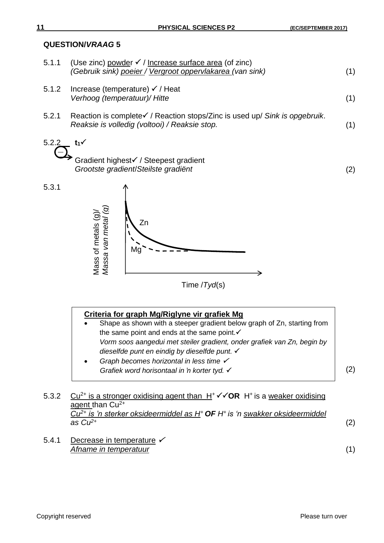| 5.1.1 | (Use zinc) powder $\checkmark$ / Increase surface area (of zinc)<br>(Gebruik sink) poeier / Vergroot oppervlakarea (van sink)           | (1) |
|-------|-----------------------------------------------------------------------------------------------------------------------------------------|-----|
| 5.1.2 | Increase (temperature) $\checkmark$ / Heat<br>Verhoog (temperatuur)/ Hitte                                                              | (1) |
| 5.2.1 | Reaction is complete $\checkmark$ / Reaction stops/Zinc is used up/ Sink is opgebruik.<br>Reaksie is volledig (voltooi) / Reaksie stop. | (1) |
| 5.2.2 | $t_1$                                                                                                                                   |     |
|       | Gradient highest√ / Steepest gradient<br>Grootste gradient/Steilste gradiënt                                                            | (2) |
| 5.3.1 |                                                                                                                                         |     |



# **Criteria for graph Mg/Riglyne vir grafiek Mg**

- Shape as shown with a steeper gradient below graph of Zn, starting from the same point and ends at the same point. $\checkmark$ *Vorm soos aangedui met steiler gradient, onder grafiek van Zn, begin by dieselfde punt en eindig by dieselfde punt.*  **Graph becomes horizontal in less time**
- 

(2)

- 5.3.2  $Cu^{2+}$  is a stronger oxidising agent than  $H^+ \checkmark$  OR  $H^+$  is a weaker oxidising agent than  $\overline{Cu^{2+}}$ *Cu2+ is 'n sterker oksideermiddel as H<sup>+</sup>OF H<sup>+</sup>is 'n swakker oksideermiddel as Cu2+* (2)
- 5.4.1 Decrease in temperature  $\checkmark$ *Afname in temperatuur* (1)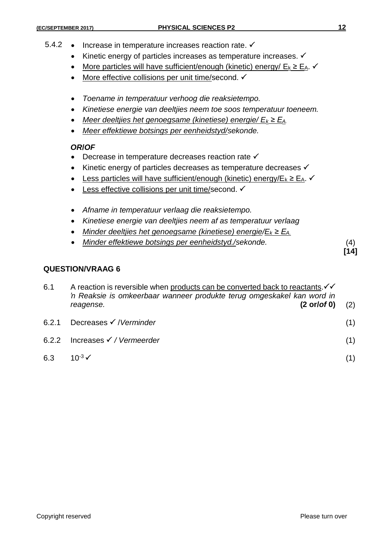- 5.4.2 Increase in temperature increases reaction rate.  $\checkmark$ 
	- $\bullet$  Kinetic energy of particles increases as temperature increases.  $\checkmark$
	- More particles will have sufficient/enough (kinetic) energy/  $E_k \ge E_A$ .
	- More effective collisions per unit time/second. ✓
	- *Toename in temperatuur verhoog die reaksietempo.*
	- *Kinetiese energie van deeltjies neem toe soos temperatuur toeneem.*
	- *Meer deeltjies het genoegsame (kinetiese) energie/ E<sup>k</sup> ≥ EA.*
	- *Meer effektiewe botsings per eenheidstyd/sekonde.*

# *OR***/***OF*

- Decrease in temperature decreases reaction rate  $\checkmark$
- Kinetic energy of particles decreases as temperature decreases √
- Less particles will have sufficient/enough (kinetic) energy/E<sub>k</sub> ≥ E<sub>A</sub>.
- $\bullet$  Less effective collisions per unit time/second.  $\checkmark$
- *Afname in temperatuur verlaag die reaksietempo.*
- *Kinetiese energie van deeltjies neem af as temperatuur verlaag*
- *Minder deeltjies het genoegsame (kinetiese) energie/E<sup>k</sup> ≥ EA.*
- *Minder effektiewe botsings per eenheidstyd./sekonde.* (4)

**[14]**

# **QUESTION/VRAAG 6**

| 6.1<br>A reaction is reversible when products can be converted back to reactants. $\checkmark\checkmark$<br>'n Reaksie is omkeerbaar wanneer produkte terug omgeskakel kan word in |                                           |     |
|------------------------------------------------------------------------------------------------------------------------------------------------------------------------------------|-------------------------------------------|-----|
|                                                                                                                                                                                    | $(2 \text{ or } 0)$<br>reagense.          | (2) |
| 6.2.1                                                                                                                                                                              | Decreases $\checkmark$ / Verminder        | (1) |
|                                                                                                                                                                                    | 6.2.2 Increases $\checkmark$ / Vermeerder | (1) |
| 6.3                                                                                                                                                                                | 10 <sup>-3</sup> $\checkmark$             |     |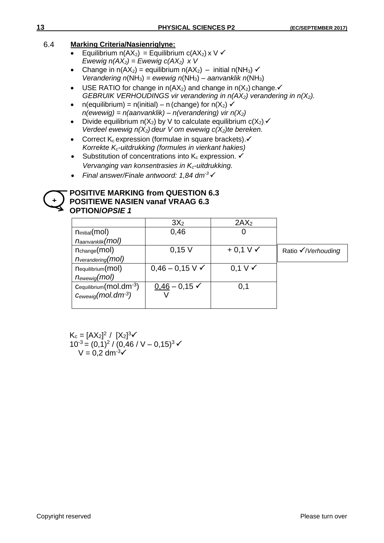# 6.4 **Marking Criteria/Nasienriglyne:**

- **Equilibrium n(AX<sub>2</sub>)** = Equilibrium  $c(AX_2) \times V \checkmark$ *Ewewig n(AX2) = Ewewig c(AX2) x V*
- Change in  $n(AX_2)$  = equilibrium  $n(AX_2)$  initial  $n(NH_3)$   $\checkmark$ *Verandering n*(NH3) *= ewewig n*(NH3) *– aanvanklik n*(NH3)
- USE RATIO for change in  $n(AX_2)$  and change in  $n(X_2)$  change.  *GEBRUIK VERHOUDINGS vir verandering in n(AX2) verandering in n(X2).*
- $n$ (equilibrium) =  $n$ (initial) n (change) for  $n(X_2)$   $\checkmark$ *n(ewewig) = n(aanvanklik) – n(verandering) vir n(X2)*
- Divide equilibrium  $n(X_2)$  by V to calculate equilibrium  $c(X_2)$ . *Verdeel ewewig n(X2) deur V om ewewig c(X2)te bereken.*
- Correct  $K_c$  expression (formulae in square brackets). $\checkmark$ *Korrekte Kc-uitdrukking (formules in vierkant hakies)*
- Substitution of concentrations into  $K_c$  expression.  $\checkmark$ *Vervanging van konsentrasies in Kc-uitdrukking.*
- *Final answer/Finale antwoord: 1,84 dm-3*

#### **POSITIVE MARKING from QUESTION 6.3 POSITIEWE NASIEN vanaf VRAAG 6.3 OPTION/***OPSIE 1* **+**

|                                     | 3X <sub>2</sub>              | 2AX <sub>2</sub>    |                    |
|-------------------------------------|------------------------------|---------------------|--------------------|
| ninitial(mol)                       | 0,46                         | O                   |                    |
| $n_{\text{aanvanklik}}(\text{mol})$ |                              |                     |                    |
| n <sub>change</sub> (mol)           | $0,15$ V                     | $+0.1 V \checkmark$ | Ratio √/Verhouding |
| $n_{verandering}(mol)$              |                              |                     |                    |
| nequilibrium(mol)                   | $0,46 - 0,15$ V $\checkmark$ | $0.1 V \checkmark$  |                    |
| $n_{\text{ewewig}}(\text{mol})$     |                              |                     |                    |
| $C$ equilibrium $(mol.dim^{-3})$    | $0,46 - 0,15$ $\checkmark$   | 0,1                 |                    |
| $C_{\text{ewewiq}}(mol.dim^{-3})$   |                              |                     |                    |
|                                     |                              |                     |                    |

 $K_c = [AX_2]^2 / [X_2]^3 \checkmark$  $10^{-3} = (0,1)^2 / (0,46 / V - 0,15)^3$  $V = 0.2$  dm  $3\sqrt{ }$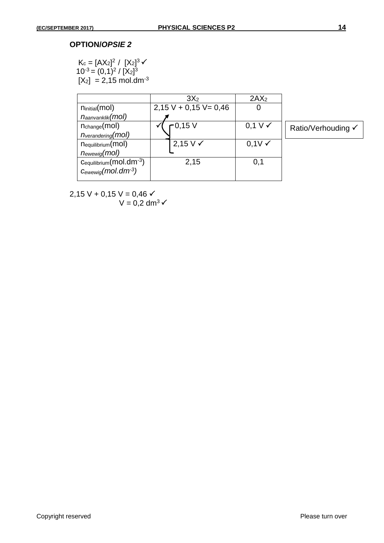# **OPTION/***OPSIE 2*

$$
K_c = [AX_2]^2 / [X_2]^3 \checkmark
$$
  
10<sup>-3</sup> = (0,1)<sup>2</sup> / [X<sub>2</sub>]<sup>3</sup>  
[X<sub>2</sub>] = 2,15 mol.dim<sup>-3</sup>

|                                     | 3X <sub>2</sub>          | 2AX <sub>2</sub>      |                    |
|-------------------------------------|--------------------------|-----------------------|--------------------|
| n <sub>initial</sub> (mol)          | $2,15$ V + 0,15 V = 0,46 |                       |                    |
| $n_{\text{aanvanklik}}(\text{mol})$ |                          |                       |                    |
| $n_{change}(mol)$                   | $-0,15$ V                | $0,1 \vee \checkmark$ | Ratio/Verhouding √ |
| $n_{verandering}(mol)$              |                          |                       |                    |
| n <sub>equilibrium</sub> (mol)      | $2,15 \vee \checkmark$   | $0,1V \checkmark$     |                    |
| $n_{\text{ewewig}}(\text{mol})$     |                          |                       |                    |
| Cequilibrium(mol.dm-3)              | 2,15                     | 0,1                   |                    |
| $C_{\text{ewewig}}(mol.dim^{-3})$   |                          |                       |                    |
|                                     |                          |                       |                    |

2,15 V + 0,15 V = 0,46  $\checkmark$  $V = 0.2$  dm<sup>3</sup> $\checkmark$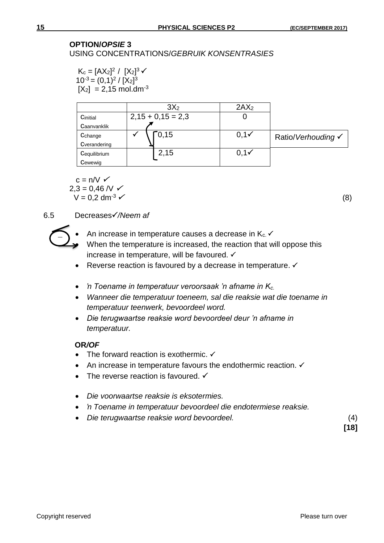# **OPTION/***OPSIE* **3**

USING CONCENTRATIONS/*GEBRUIK KONSENTRASIES*

 $K_c = [AX_2]^2 / [X_2]^3 \checkmark$  $10^{-3} = (0,1)^2 / [X_2]^3$  $[X_2] = 2,15 \text{ mol.dim}^3$ 

|              | 3X <sub>2</sub>     | 2AX <sub>2</sub> |                    |
|--------------|---------------------|------------------|--------------------|
| Cinitial     | $2,15 + 0,15 = 2,3$ |                  |                    |
| Caanvanklik  |                     |                  |                    |
| Cchange      | 0,15                | $0,1 \checkmark$ | Ratio/Verhouding √ |
| Cverandering |                     |                  |                    |
| Cequilibrium | 2,15                | $0,1 \checkmark$ |                    |
| Cewewig      |                     |                  |                    |

 $c = n/V \checkmark$  $2,3 = 0,46$  /V  $\checkmark$  $V = 0.2$  dm<sup>-3</sup>  $\times$  (8)

# 6.5 Decreases*/Neem af*



- An increase in temperature causes a decrease in  $K_c \checkmark$ When the temperature is increased, the reaction that will oppose this
- increase in temperature, will be favoured.  $\checkmark$
- Reverse reaction is favoured by a decrease in temperature. ✓
- *'n Toename in temperatuur veroorsaak 'n afname in Kc.*
- *Wanneer die temperatuur toeneem, sal die reaksie wat die toename in temperatuur teenwerk, bevoordeel word.*
- *Die terugwaartse reaksie word bevoordeel deur 'n afname in temperatuur.*

# **OR***/OF*

- The forward reaction is exothermic.  $\checkmark$
- An increase in temperature favours the endothermic reaction.  $\checkmark$
- The reverse reaction is favoured.  $\checkmark$
- *Die voorwaartse reaksie is eksotermies.*
- *'n Toename in temperatuur bevoordeel die endotermiese reaksie.*
- *Die terugwaartse reaksie word bevoordeel.* (4)

**[18]**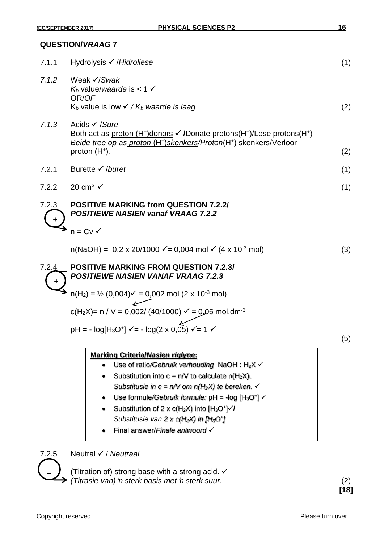| 7.1.1 | Hydrolysis <i>√ /Hidroliese</i>                                                                                                                                                                                                             | (1) |
|-------|---------------------------------------------------------------------------------------------------------------------------------------------------------------------------------------------------------------------------------------------|-----|
| 7.1.2 | Weak $\checkmark$ /Swak<br>$K_b$ value/waarde is < 1 $\checkmark$<br>OR/OF<br>$K_b$ value is low $\checkmark$ / $K_b$ waarde is laag                                                                                                        | (2) |
| 7.1.3 | Acids <del>V</del> /Sure<br>Both act as proton $(H^*)$ donors $\checkmark$ /Donate protons $(H^*)$ /Lose protons $(H^*)$<br>Beide tree op as proton (H <sup>+</sup> ) skenkers/Proton(H <sup>+</sup> ) skenkers/Verloor<br>proton $(H^*)$ . | (2) |
| 7.2.1 | Burette $\checkmark$ /buret                                                                                                                                                                                                                 | (1) |
|       |                                                                                                                                                                                                                                             |     |
| 7.2.2 | 20 cm <sup>3</sup> $\checkmark$                                                                                                                                                                                                             | (1) |
| 7.2.3 | <b>POSITIVE MARKING from QUESTION 7.2.2/</b><br><b>POSITIEWE NASIEN vanaf VRAAG 7.2.2</b>                                                                                                                                                   |     |
|       | $n = CV \checkmark$                                                                                                                                                                                                                         |     |
|       | $n(NaOH) = 0.2 \times 20/1000 \, \text{V} = 0.004 \, \text{mol} \, \text{V}$ (4 x 10 <sup>-3</sup> mol)                                                                                                                                     | (3) |
| 7.2.4 | <b>POSITIVE MARKING FROM QUESTION 7.2.3/</b><br><b>POSITIEWE NASIEN VANAF VRAAG 7.2.3</b>                                                                                                                                                   |     |
|       | $n(H_2) = \frac{1}{2} (0.004) \checkmark = 0.002 \text{ mol } (2 \times 10^{-3} \text{ mol})$                                                                                                                                               |     |
|       | c(H <sub>2</sub> X)= n / V = 0,002/ (40/1000) $\checkmark$ = 0,05 mol.dm <sup>-3</sup>                                                                                                                                                      |     |
|       | $pH = -log[H_3O^+]$ $\checkmark$ = - $log(2 \times 0.05)$ $\checkmark$ = 1 $\checkmark$                                                                                                                                                     | (5) |
|       | <b>Marking Criteria/Nasien riglyne:</b><br>Use of ratio/Gebruik verhouding NaOH: $H_2X \checkmark$<br>$\bullet$<br>Substitution into $c = n/V$ to calculate $n(H_2X)$ .<br>Substitusie in $c = n/V$ om $n(H_2X)$ te bereken. $\checkmark$   |     |

- Use formule/Gebruik formule:  $pH = -log [H<sub>3</sub>O<sup>+</sup>]$
- Substitution of 2 x  $c(H_2X)$  into  $[H_3O^+]\checkmark/$ *Substitusie van 2 x c(H2X) in [H3O + ]*
- Final answer/*Finale antwoord*



7.2.5 Neutral / *Neutraal*

(Titration of) strong base with a strong acid.  $\checkmark$ *(Titrasie van) 'n sterk basis met 'n sterk suur.* (2)

**[18]**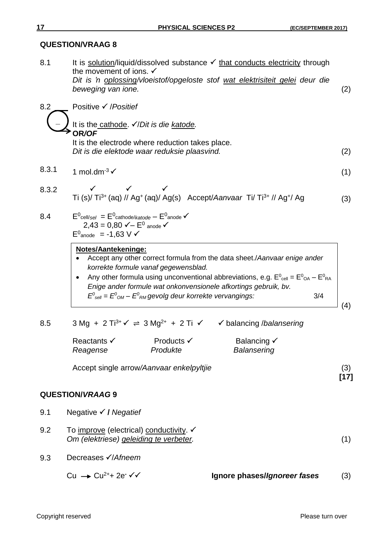| 8.1   | It is solution/liquid/dissolved substance $\checkmark$ that conducts electricity through<br>the movement of ions. $\checkmark$<br>Dit is 'n oplossing/vloeistof/opgeloste stof wat elektrisiteit gelei deur die<br>beweging van ione.                                                                        | (2) |  |  |
|-------|--------------------------------------------------------------------------------------------------------------------------------------------------------------------------------------------------------------------------------------------------------------------------------------------------------------|-----|--|--|
| 8.2   | Positive $\checkmark$ /Positief                                                                                                                                                                                                                                                                              |     |  |  |
|       | It is the cathode. V/Dit is die katode.<br>OR/OF<br>It is the electrode where reduction takes place.                                                                                                                                                                                                         |     |  |  |
|       | Dit is die elektode waar reduksie plaasvind.                                                                                                                                                                                                                                                                 | (2) |  |  |
| 8.3.1 | 1 mol.dm $3\checkmark$                                                                                                                                                                                                                                                                                       | (1) |  |  |
| 8.3.2 | $\checkmark$ $\checkmark$ $\checkmark$<br>Ti (s)/ Ti <sup>3+</sup> (aq) // Ag <sup>+</sup> (aq)/ Ag(s) Accept/Aanvaar Ti/ Ti <sup>3+</sup> // Ag <sup>+</sup> / Ag                                                                                                                                           | (3) |  |  |
| 8.4   | $E^0$ cell/sel = $E^0$ cathode/katode – $E^0$ anode $\checkmark$<br>2,43 = 0,80 $\checkmark$ − $E^0$ anode $\checkmark$<br>$E^0$ <sub>anode</sub> = -1,63 V $\checkmark$                                                                                                                                     |     |  |  |
|       | Notes/Aantekeninge:<br>Accept any other correct formula from the data sheet./Aanvaar enige ander<br>korrekte formule vanaf gegewensblad.<br>Any other formula using unconventional abbreviations, e.g. $E^0_{cell} = E^0_{OA} - E^0_{RA}$<br>Enige ander formule wat onkonvensionele afkortings gebruik, bv. |     |  |  |
|       | $E^0_{\text{self}} = E^0_{\text{OM}} - E^0_{\text{RM}}$ gevolg deur korrekte vervangings:<br>3/4                                                                                                                                                                                                             | (4) |  |  |
| 8.5   | $3 \text{ Mg} + 2 \text{ Ti}^{3+} \checkmark \ \Rightarrow 3 \text{ Mg}^{2+} + 2 \text{ Ti} \checkmark \ \checkmark$ balancing /balansering                                                                                                                                                                  |     |  |  |
|       | $Droductc \, \checkmark$<br>Ralancing √<br>Peactante √                                                                                                                                                                                                                                                       |     |  |  |

Reactants V Products V Balancing V *Reagense Produkte Balansering*

Accept single arrow*/Aanvaar enkelpyltjie* (3)

# **QUESTION/***VRAAG* **9**

- 9.1 Negative **/** *Negatief*
- 9.2 To improve (electrical) conductivity.  $\checkmark$ *Om (elektriese) geleiding te verbeter.* (1)
- 9.3 Decreases **√**/Afneem

 $Cu \rightarrow Cu^{2+} + 2e^- \checkmark$  / Ignore phases/*Ignoreer fases* (3)

**[17]**